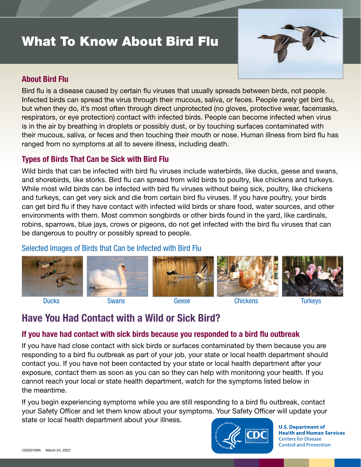# What To Know About Bird Flu



#### About Bird Flu

Bird flu is a disease caused by certain flu viruses that usually spreads between birds, not people. Infected birds can spread the virus through their mucous, saliva, or feces. People rarely get bird flu, but when they do, it's most often through direct unprotected (no gloves, protective wear, facemasks, respirators, or eye protection) contact with infected birds. People can become infected when virus is in the air by breathing in droplets or possibly dust, or by touching surfaces contaminated with their mucous, saliva, or feces and then touching their mouth or nose. Human illness from bird flu has ranged from no symptoms at all to severe illness, including death.

#### Types of Birds That Can be Sick with Bird Flu

Wild birds that can be infected with bird flu viruses include waterbirds, like ducks, geese and swans, and shorebirds, like storks. Bird flu can spread from wild birds to poultry, like chickens and turkeys. While most wild birds can be infected with bird flu viruses without being sick, poultry, like chickens and turkeys, can get very sick and die from certain bird flu viruses. If you have poultry, your birds can get bird flu if they have contact with infected wild birds or share food, water sources, and other environments with them. Most common songbirds or other birds found in the yard, like cardinals, robins, sparrows, blue jays, crows or pigeons, do not get infected with the bird flu viruses that can be dangerous to poultry or possibly spread to people.

### Selected Images of Birds that Can be Infected with Bird Flu



# Have You Had Contact with a Wild or Sick Bird?

## If you have had contact with sick birds because you responded to a bird flu outbreak

If you have had close contact with sick birds or surfaces contaminated by them because you are responding to a bird flu outbreak as part of your job, your state or local health department should contact you. If you have not been contacted by your state or local health department after your exposure, contact them as soon as you can so they can help with monitoring your health. If you cannot reach your local or state health department, watch for the symptoms listed below in the meantime.

If you begin experiencing symptoms while you are still responding to a bird flu outbreak, contact your Safety Officer and let them know about your symptoms. Your Safety Officer will update your state or local health department about your illness.



**U.S. Department of Health and Human Services Centers for Disease Control and Prevention**